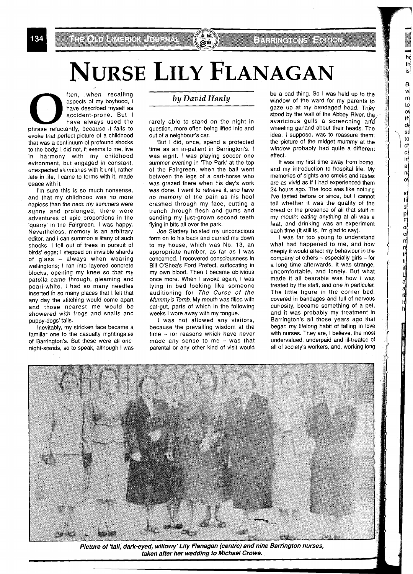**1 • MORTAN FOR THE AND READ TO THE ATT OF A SPECIFICATE OF A SPECIFICATE OF A SPECIFICATE OF A SPECIFICATE OF A SPECIFICATE OF A SPECIFICATE OF A CHILD SPECIFICATE OF A CHILD SPECIFICATE OF A CHILD SPECIFICATE OF A CHILD** aspects of my boyhood, I have described myself as accident-prone. But l have always used the phrase reluctantly, because it fails to evoke that perfect picture of a childhood that was a continuum of profound shocks to the body: I did not, it seems to me, live<br>in harmony with my childhood harmony with my childhood evironment, but engaged in constant, unexpected skirmishes with it until, rather late in life, I came to terms with it, made peace with it.

I'm sure this is so much nonsense, and that my childhood was no more hapless than the next: my summers were sunny and prolonged, there were adventures of epic proportions in the 'quarry' in the Fairgreen. I was happy. Nevertheless, memory is an arbitrary editor, and I can summon a litany of such shocks. I fell out of trees in pursuit of birds' eggs; I stepped on invisible shards of glass - always when wearing wellingtons; I ran into layered concrete blocks, opening my knee so that my patella came through, gleaming and pearl-white. I had so many needles inserted in so many places that I felt that any day the stitching would come apart and those nearest me would be showered with frogs and snails and puppy-dogs' tails.

Inevitably, my stricken face became a familiar one to the casualty nightingales of Barrington's. But these were all onenight-stands, so to speak, although I was

## **by** *David Hanly*

rarely able to stand on the night in question, more often being lifted into and out of a neighbour's car.

But I did, once, spend a protected time as an in-patient in Barrington's. I was eight. I was playing soccer one summer evening in 'The Park' at the top of the Fairgreen, when the ball went between the legs of a cart-horse who was grazed there when his day's work was done. I went to retrieve it, and have no memory of the pain as his hoof crashed through my face, cutting a trench through flesh and gums and sending my just-grown second teeth flying in bits all over the park.

Joe Slattery hoisted my unconscious form on to his back and carried me down to my house, which was No. 13, an appropriate number, as far as I was concerned. I recovered consciousness in Bill O'Shea's Ford Prefect, suffocating in my own blood. Then I became oblivious once more. When I awoke again, I was lying in bed looking like someone auditioning for The Curse of the Mummy's Tomb. My mouth was filled with cat-gut, parts of which in the following weeks I wore away with my tongue.

I was not allowed any visitors, because the prevailing wisdom at the time - for reasons which have never made any sense to me  $-$  was that parental or any other kind of visit would be a bad thing. So I was held up to the window of the ward for my parents to gaze up at my bandaged head. They stood by the wall of the Abbey River, the. avaricious gulls a screeching an'd wheeling garland about their heads. The idea, I suppose, was to reassure them: the picture of the midget mummy at the window probably had quite a different effect.

hd th is  $B$ wļ  $m$  $\mathsf{to}$  $\alpha$  $th$ 

still should out rettilit Lianath hid

It was my first time away from home, and my introduction to hospital life. My memories of sights and smells and tastes are as vivid as if I had experienced them 24 hours ago. The food was like nothing I've tasted before or since, but I cannot tell whether it was the quality of the bread or the presence of all that stuff in my mouth: eating anything at all was a feat, and drinking was an experiment each time (it still is, I'm glad to say).

I was far too young to understand what had happened to me, and how deeply it would affect my behaviour in the  $company$  of others  $-$  especially girls  $-$  for a long time afterwards. It was strange, uncomfortable, and lonely. But what made it all bearable was how I was treated by the staff, and one in particular. The little figure in the corner bed, covered in bandages and full of nervous curiosity, became something of a pet, and it was probably my treatment in Barrington's all those years ago that began my lifelong habit of falling in love with nurses. They are, I believe, the most undervalued, underpaid and ill-treated of all of society's workers, and, working long



Picture of 'tall, dark-eyed, willowy' Lily Flanagan (centre) and nine Barrington nurses, taken after her wedding to Michael Crowe.